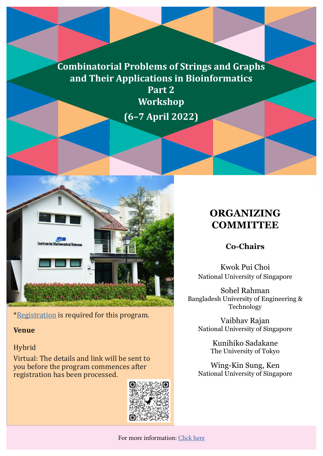# **Combinatorial Problems of Strings and Graphs and Their Applications in Bioinformatics**

**Part 2 Workshop (6–7 April 2022)**



\*[Registration](https://tinyurl.com/ImsCombi2Reg) is required for this program.

#### **Venue**

#### Hybrid

Virtual: The details and link will be sent to you before the program commences after registration has been processed.



# **ORGANIZING COMMITTEE**

### **Co-Chairs**

Kwok Pui Choi National University of Singapore

Sohel Rahman Bangladesh University of Engineering & Technology

Vaibhav Rajan National University of Singapore

> Kunihiko Sadakane The University of Tokyo

Wing-Kin Sung, Ken National University of Singapore

For more information: [Click here](https://ims.nus.edu.sg/events/combinatorial-problems-for-string-and-graph-and-their-applications-in-bioinformatics-part-2/)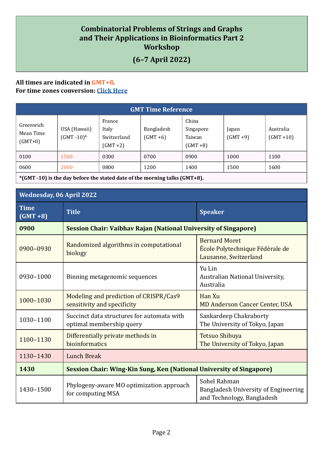### **Combinatorial Problems of Strings and Graphs and Their Applications in Bioinformatics Part 2 Workshop**

## **(6–7 April 2022)**

#### **All times are indicated in GMT+8. For time zones conversion: [Click Here](https://www.timeanddate.com/worldclock/converter.html)**

| <b>GMT Time Reference</b>           |                                |                                               |                           |                                             |                      |                           |  |
|-------------------------------------|--------------------------------|-----------------------------------------------|---------------------------|---------------------------------------------|----------------------|---------------------------|--|
| Greenwich<br>Mean Time<br>$(GMT+0)$ | USA (Hawaii)<br>$(GMT - 10)^*$ | France<br>Italy<br>Switzerland<br>$(GMT + 2)$ | Bangladesh<br>$(GMT + 6)$ | China<br>Singapore<br>Taiwan<br>$(GMT + 8)$ | Japan<br>$(GMT + 9)$ | Australia<br>$(GMT + 10)$ |  |
| 0100                                | 1500                           | 0300                                          | 0700                      | 0900                                        | 1000                 | 1100                      |  |
| 0600                                | 2000                           | 0800                                          | 1200                      | 1400                                        | 1500                 | 1600                      |  |

**\*(GMT -10) is the day before the stated date of the morning talks (GMT+8).**

| <b>Wednesday, 06 April 2022</b> |                                                                             |                                                                                    |  |  |  |
|---------------------------------|-----------------------------------------------------------------------------|------------------------------------------------------------------------------------|--|--|--|
| <b>Time</b><br>$(GMT + 8)$      | <b>Title</b>                                                                | <b>Speaker</b>                                                                     |  |  |  |
| 0900                            | <b>Session Chair: Vaibhav Rajan (National University of Singapore)</b>      |                                                                                    |  |  |  |
| 0900-0930                       | Randomized algorithms in computational<br>biology                           | <b>Bernard Moret</b><br>École Polytechnique Fédérale de<br>Lausanne, Switzerland   |  |  |  |
| 0930-1000                       | Binning metagenomic sequences                                               | Yu Lin<br>Australian National University,<br>Australia                             |  |  |  |
| 1000-1030                       | Modeling and prediction of CRISPR/Cas9<br>sensitivity and specificity       | Han Xu<br><b>MD Anderson Cancer Center, USA</b>                                    |  |  |  |
| 1030-1100                       | Succinct data structures for automata with<br>optimal membership query      | Sankardeep Chakraborty<br>The University of Tokyo, Japan                           |  |  |  |
| 1100-1130                       | Differentially private methods in<br>bioinformatics                         | <b>Tetsuo Shibuya</b><br>The University of Tokyo, Japan                            |  |  |  |
| 1130-1430                       | <b>Lunch Break</b>                                                          |                                                                                    |  |  |  |
| 1430                            | <b>Session Chair: Wing-Kin Sung, Ken (National University of Singapore)</b> |                                                                                    |  |  |  |
| 1430-1500                       | Phylogeny-aware MO optimization approach<br>for computing MSA               | Sohel Rahman<br>Bangladesh University of Engineering<br>and Technology, Bangladesh |  |  |  |